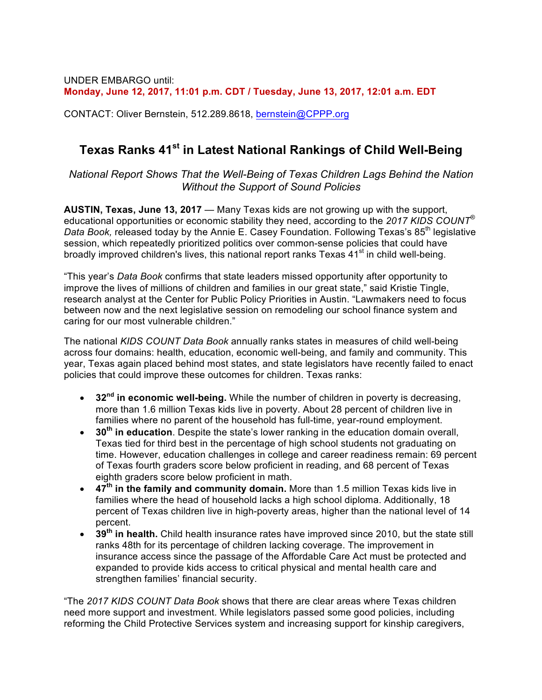UNDER EMBARGO until: **Monday, June 12, 2017, 11:01 p.m. CDT / Tuesday, June 13, 2017, 12:01 a.m. EDT**

CONTACT: Oliver Bernstein, 512.289.8618, bernstein@CPPP.org

## **Texas Ranks 41st in Latest National Rankings of Child Well-Being**

*National Report Shows That the Well-Being of Texas Children Lags Behind the Nation Without the Support of Sound Policies*

**AUSTIN, Texas, June 13, 2017** — Many Texas kids are not growing up with the support, educational opportunities or economic stability they need, according to the *2017 KIDS COUNT® Data Book,* released today by the Annie E. Casey Foundation. Following Texas's 85<sup>th</sup> legislative session, which repeatedly prioritized politics over common-sense policies that could have broadly improved children's lives, this national report ranks Texas 41<sup>st</sup> in child well-being.

"This year's *Data Book* confirms that state leaders missed opportunity after opportunity to improve the lives of millions of children and families in our great state," said Kristie Tingle, research analyst at the Center for Public Policy Priorities in Austin. "Lawmakers need to focus between now and the next legislative session on remodeling our school finance system and caring for our most vulnerable children."

The national *KIDS COUNT Data Book* annually ranks states in measures of child well-being across four domains: health, education, economic well-being, and family and community. This year, Texas again placed behind most states, and state legislators have recently failed to enact policies that could improve these outcomes for children. Texas ranks:

- **32nd in economic well-being.** While the number of children in poverty is decreasing, more than 1.6 million Texas kids live in poverty. About 28 percent of children live in families where no parent of the household has full-time, year-round employment.
- **30th in education**. Despite the state's lower ranking in the education domain overall, Texas tied for third best in the percentage of high school students not graduating on time. However, education challenges in college and career readiness remain: 69 percent of Texas fourth graders score below proficient in reading, and 68 percent of Texas eighth graders score below proficient in math.
- **47th in the family and community domain.** More than 1.5 million Texas kids live in families where the head of household lacks a high school diploma. Additionally, 18 percent of Texas children live in high-poverty areas, higher than the national level of 14 percent.
- **39th in health.** Child health insurance rates have improved since 2010, but the state still ranks 48th for its percentage of children lacking coverage. The improvement in insurance access since the passage of the Affordable Care Act must be protected and expanded to provide kids access to critical physical and mental health care and strengthen families' financial security.

"The *2017 KIDS COUNT Data Book* shows that there are clear areas where Texas children need more support and investment. While legislators passed some good policies, including reforming the Child Protective Services system and increasing support for kinship caregivers,